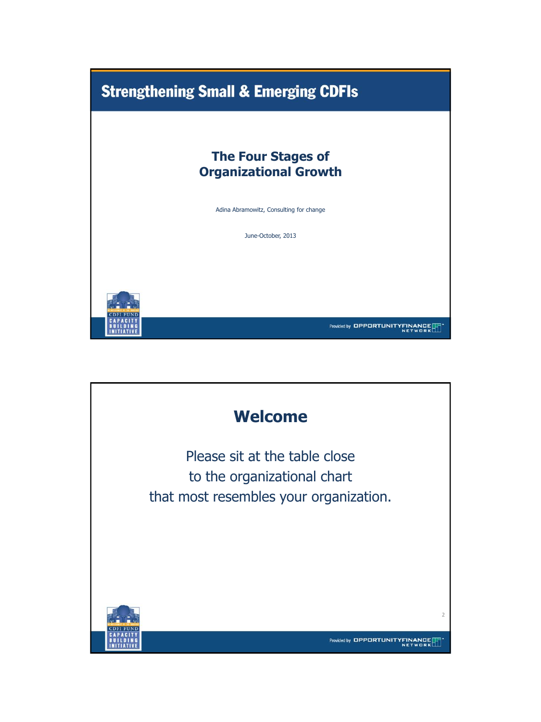

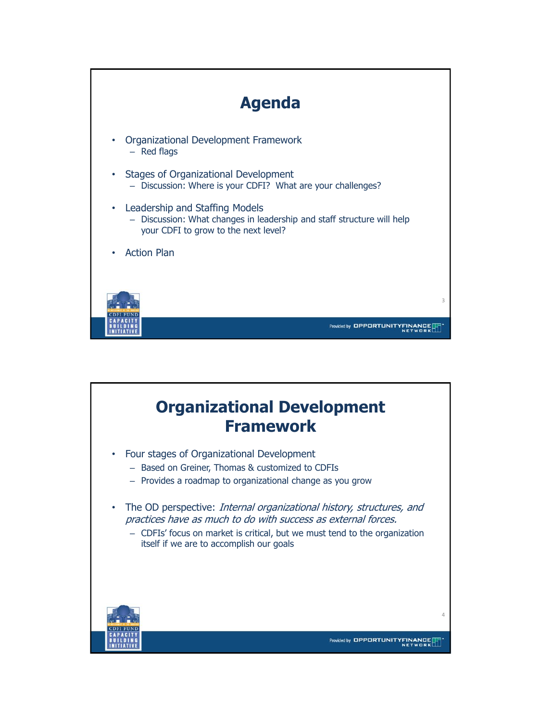

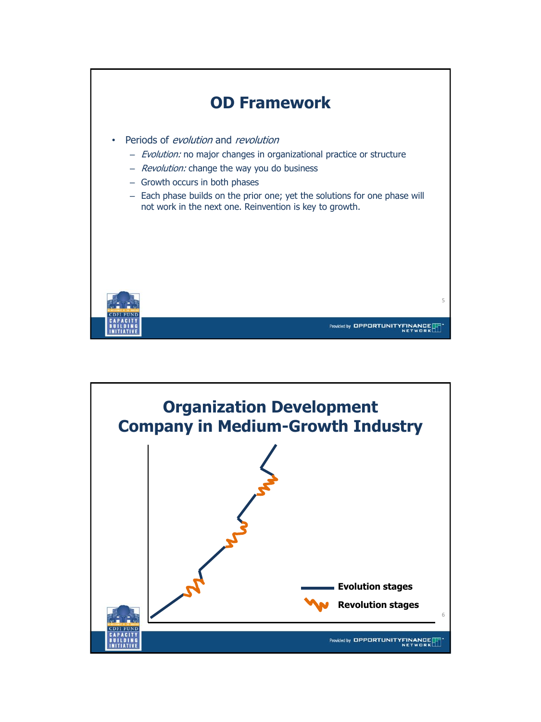

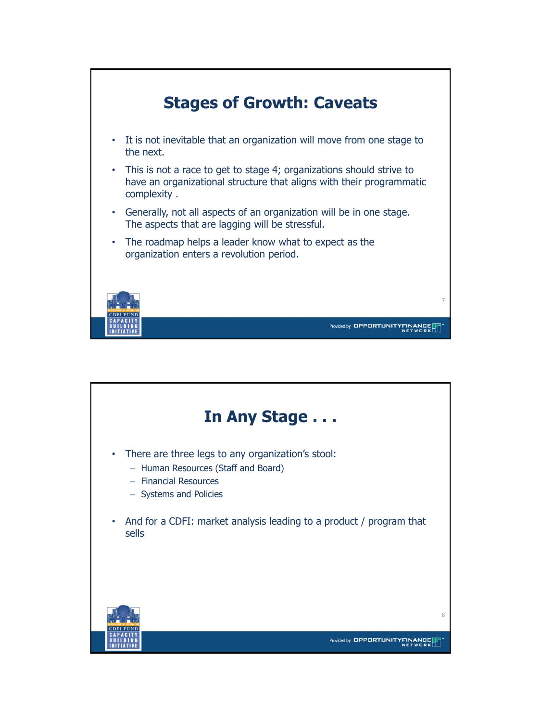

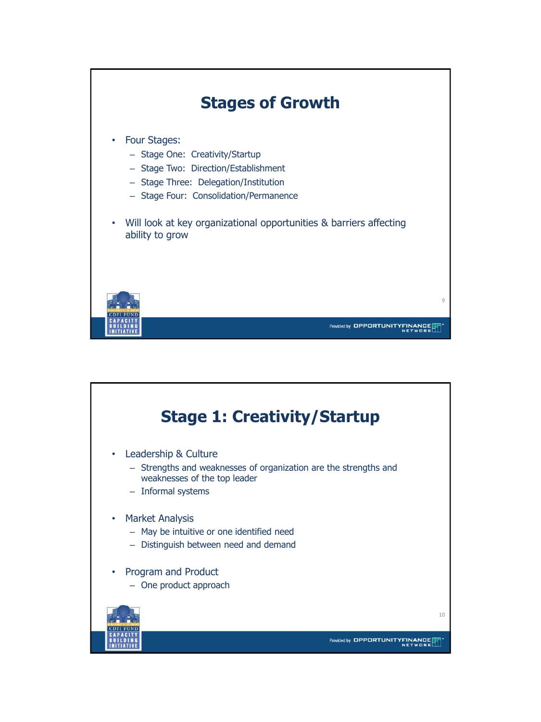

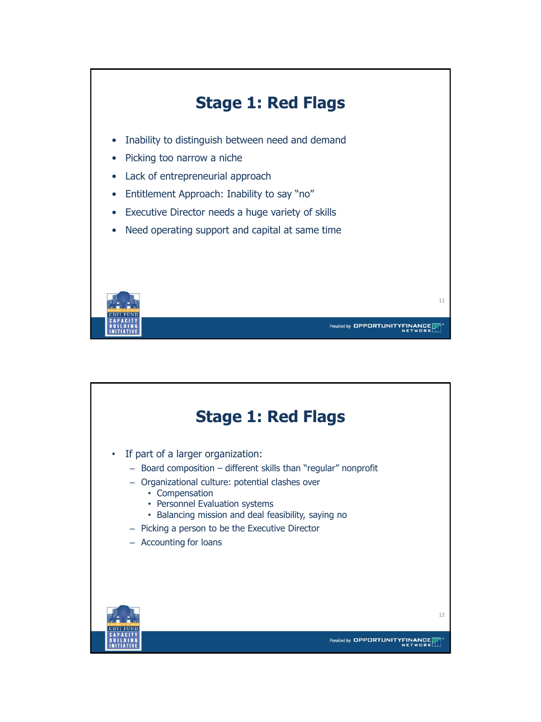

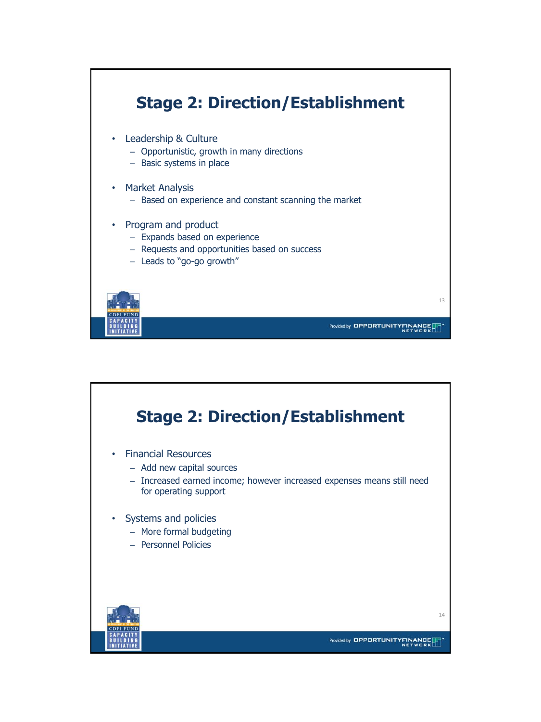

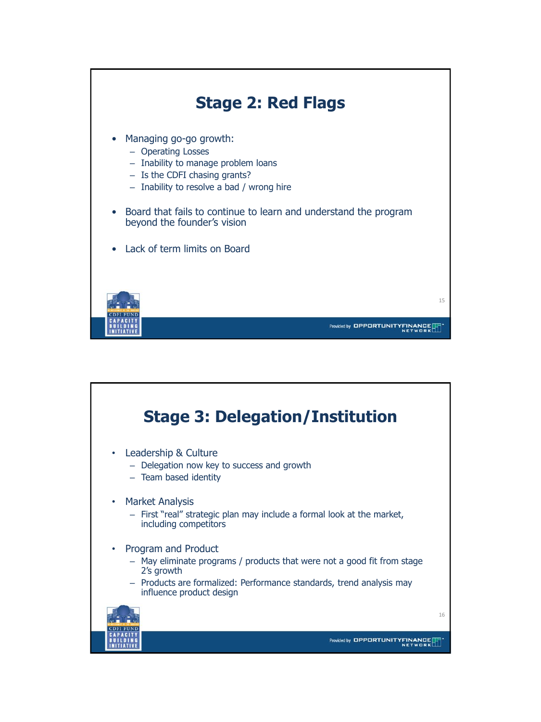

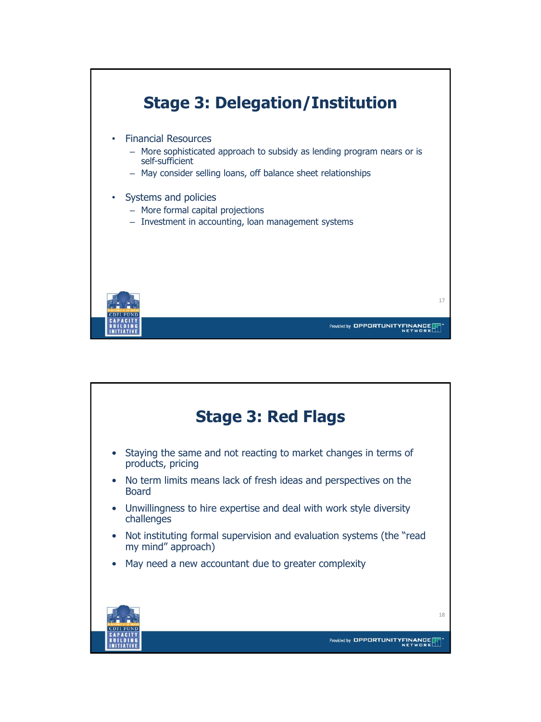

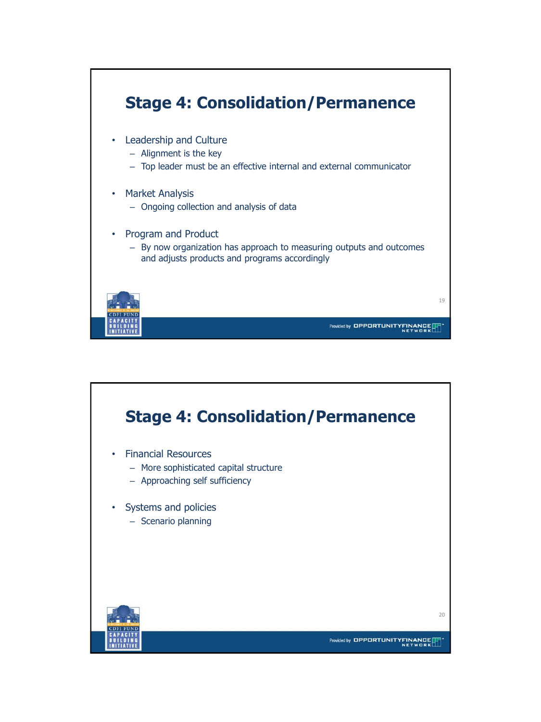

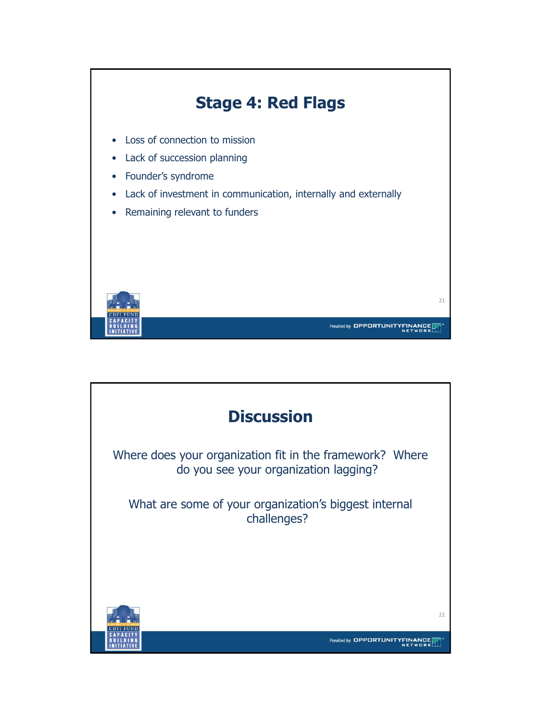

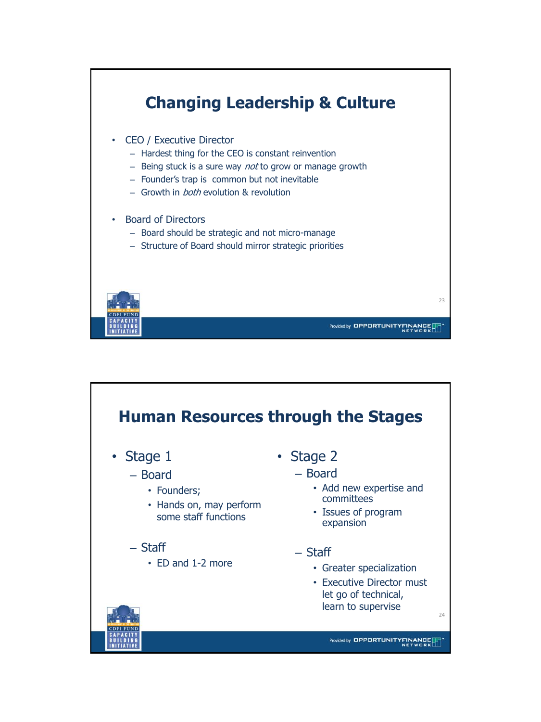

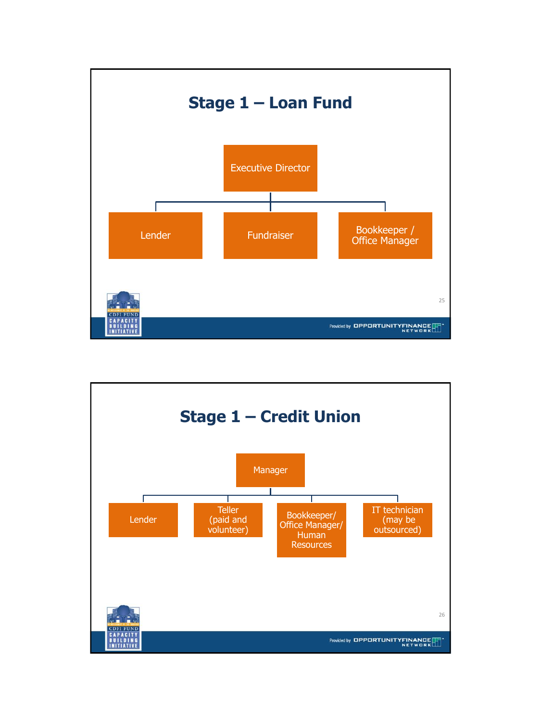

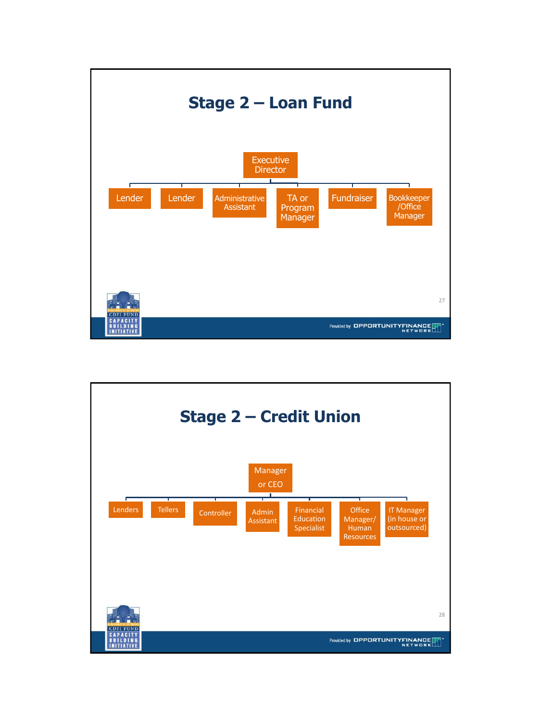

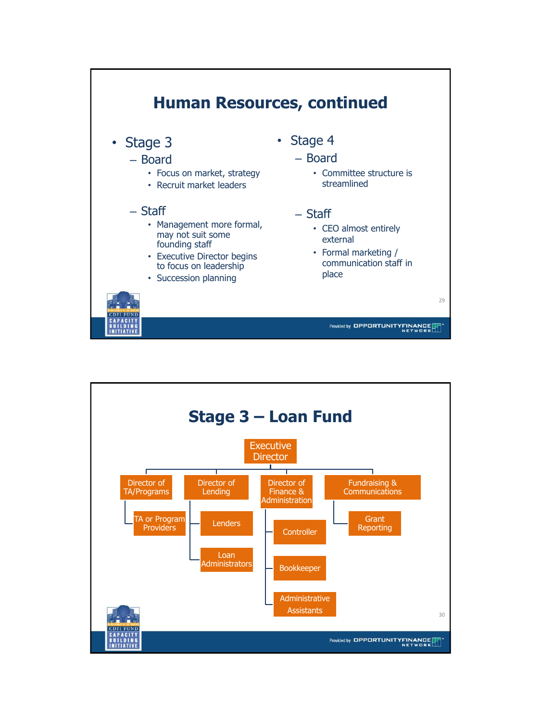

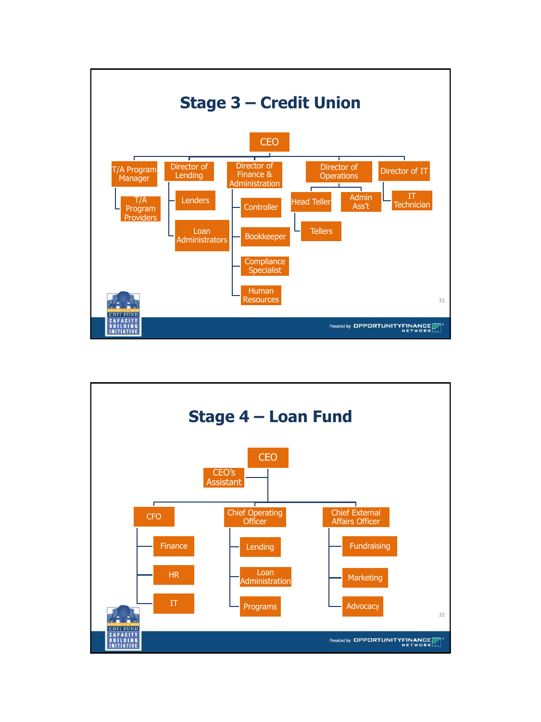

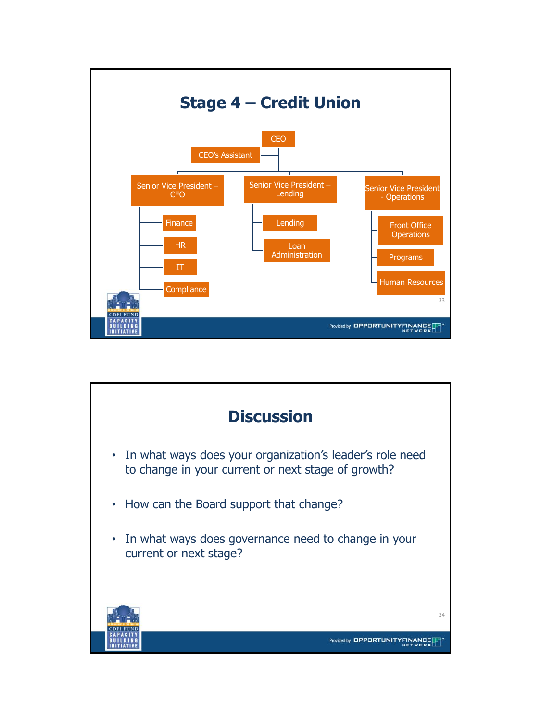

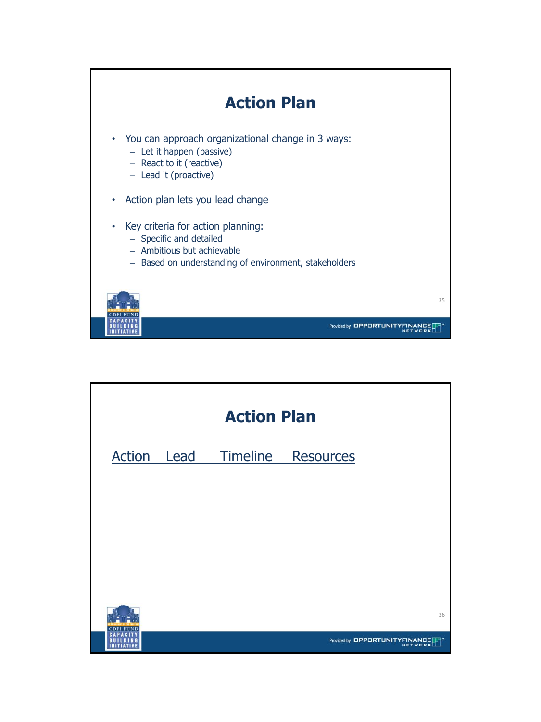

| <b>Action Plan</b> |      |          |                                                   |    |
|--------------------|------|----------|---------------------------------------------------|----|
| Action             | Lead | Timeline | Resources                                         |    |
|                    |      |          |                                                   |    |
|                    |      |          |                                                   |    |
|                    |      |          |                                                   |    |
|                    |      |          |                                                   |    |
|                    |      |          |                                                   |    |
|                    |      |          |                                                   |    |
| CDEI               |      |          |                                                   | 36 |
|                    |      |          | Provided by <b>OPPORTUNITYFINA</b><br><b>TWOR</b> |    |